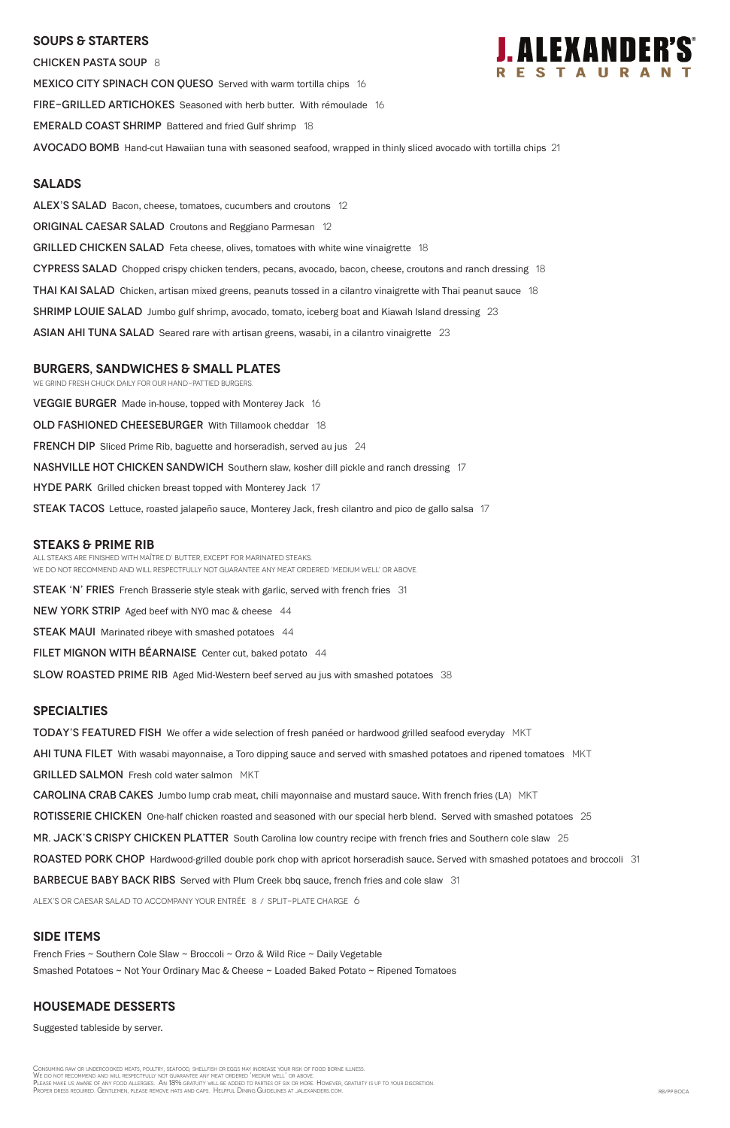#### **SOUPS & Starters**

CHICKEN PASTA SOUP 8 MEXICO CITY SPINACH CON QUESO Served with warm tortilla chips 16 FIRE-GRILLED ARTICHOKES Seasoned with herb butter. With rémoulade 16 **EMERALD COAST SHRIMP** Battered and fried Gulf shrimp 18 Avocado Bomb Hand-cut Hawaiian tuna with seasoned seafood, wrapped in thinly sliced avocado with tortilla chips 21

#### **Salads**

ALEX'S SALAD Bacon, cheese, tomatoes, cucumbers and croutons 12

**ORIGINAL CAESAR SALAD** Croutons and Reggiano Parmesan 12

GRILLED CHICKEN SALAD Feta cheese, olives, tomatoes with white wine vinaigrette 18

CYPRESS SALAD Chopped crispy chicken tenders, pecans, avocado, bacon, cheese, croutons and ranch dressing 18

**THAI KAI SALAD** Chicken, artisan mixed greens, peanuts tossed in a cilantro vinaigrette with Thai peanut sauce 18

**SHRIMP LOUIE SALAD** Jumbo gulf shrimp, avocado, tomato, iceberg boat and Kiawah Island dressing 23

ASIAN AHI TUNA SALAD Seared rare with artisan greens, wasabi, in a cilantro vinaigrette 23

### **burgers, Sandwiches & small plates**

We grind fresh chuck daily for our hand-pattied burgers.

VEGGIE BURGER Made in-house, topped with Monterey Jack 16

OLD FASHIONED CHEESEBURGER With Tillamook cheddar 18

FRENCH DIP Sliced Prime Rib, baguette and horseradish, served au jus 24

**NASHVILLE HOT CHICKEN SANDWICH** Southern slaw, kosher dill pickle and ranch dressing 17

HYDE PARK Grilled chicken breast topped with Monterey Jack 17

**STEAK TACOS** Lettuce, roasted jalapeño sauce, Monterey Jack, fresh cilantro and pico de gallo salsa 17

#### **STEAKS & Prime Rib**

Consuming raw or undercooked meats, poultry, seafood, shellfish or eggs may increase your risk of food borne illness. We do not recommend and will respectfully not guarantee any meat ordered 'medium well' or above. PLEASE MAKE US AWARE OF ANY FOOD ALLERGIES. AN 18% GRATUITY WILL BE ADDED TO PARTIES OF SIX OR MORE. HOWEVER, GRATUITY IS UP TO YOUR DISCRETION Proper dress required. Gentlemen, please remove hats and caps. Helpful Dining Guidelines at jalexanders.com. RB/PP BOCA

All steaks are finished with Maître d' butter, except for marinated steaks. WE DO NOT RECOMMEND AND WILL RESPECTFULLY NOT GUARANTEE ANY MEAT ORDERED 'MEDIUM WELL' OR ABOVE.

STEAK 'N' FRIES French Brasserie style steak with garlic, served with french fries 31

NEW YORK STRIP Aged beef with NYO mac & cheese 44

**STEAK MAUI** Marinated ribeye with smashed potatoes 44

FILET MIGNON WITH BÉARNAISE Center cut, baked potato 44

SLOW ROASTED PRIME RIB Aged Mid-Western beef served au jus with smashed potatoes 38

## **specialties**

**TODAY'S FEATURED FISH** We offer a wide selection of fresh panéed or hardwood grilled seafood everyday MKT

**AHI TUNA FILET** With wasabi mayonnaise, a Toro dipping sauce and served with smashed potatoes and ripened tomatoes MKT

GRILLED SALMON Fresh cold water salmon MKT

**CAROLINA CRAB CAKES** Jumbo lump crab meat, chili mayonnaise and mustard sauce. With french fries (LA) MKT

ROTISSERIE CHICKEN One-half chicken roasted and seasoned with our special herb blend. Served with smashed potatoes 25



MR. JACK'S CRISPY CHICKEN PLATTER South Carolina low country recipe with french fries and Southern cole slaw 25

ROASTED PORK CHOP Hardwood-grilled double pork chop with apricot horseradish sauce. Served with smashed potatoes and broccoli 31

**BARBECUE BABY BACK RIBS** Served with Plum Creek bbq sauce, french fries and cole slaw 31

ALEX's or Caesar salad to accompany your entrée 8 / split-plate charge 6

### **SIDE ITEMS**

French Fries ~ Southern Cole Slaw ~ Broccoli ~ Orzo & Wild Rice ~ Daily Vegetable

Smashed Potatoes ~ Not Your Ordinary Mac & Cheese ~ Loaded Baked Potato ~ Ripened Tomatoes

### **Housemade DESSERTS**

Suggested tableside by server.